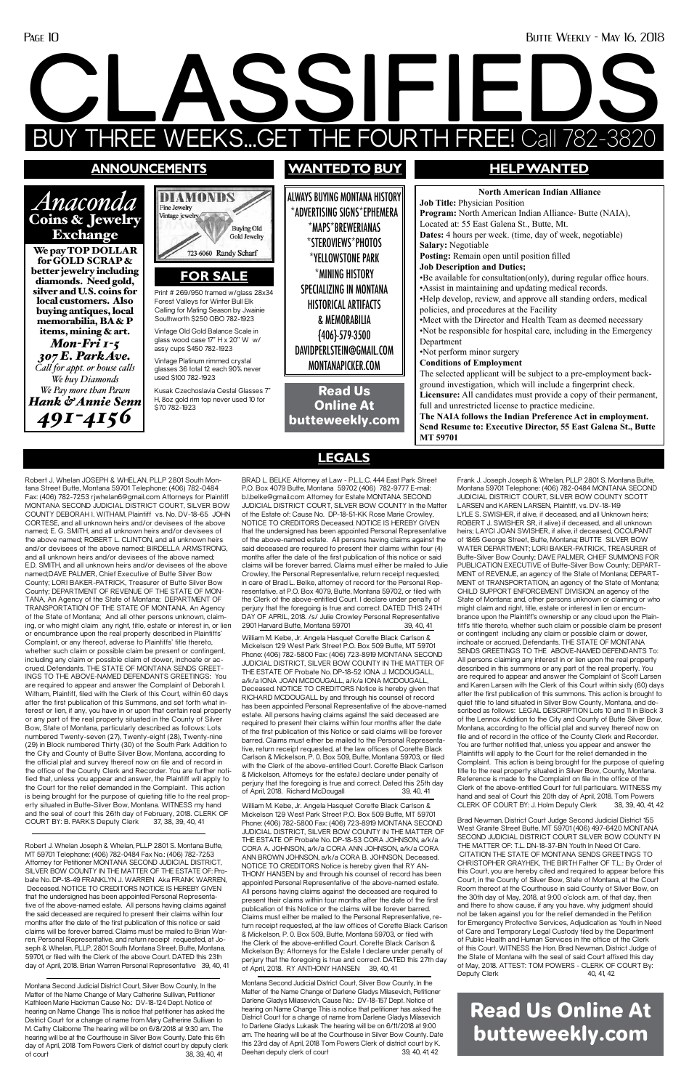#### Page 10 Butte Weekly - May 16, 2018

# **CLASSIFIEDS** EEKS...GET THE FOURTH FREE! Call 782-38

Robert J. Whelan JOSEPH & WHELAN, PLLP 2801 South Montana Street Butte, Montana 59701 Telephone: (406) 782-0484 Fax: (406) 782-7253 rjwhelan6@gmail.com Attorneys for Plaintiff MONTANA SECOND JUDICIAL DISTRICT COURT, SILVER BOW COUNTY DEBORAH I. WITHAM, Plaintiff vs. No. DV-18-65 JOHN CORTESE, and all unknown heirs and/or devisees of the above named; E. G. SMITH, and all unknown heirs and/or devisees of the above named; ROBERT L. CLINTON, and all unknown heirs and/or devisees of the above named; BIRDELLA ARMSTRONG, and all unknown heirs and/or devisees of the above named; E.D. SMITH, and all unknown heirs and/or devisees of the above named;DAVE PALMER, Chief Executive of Butte Silver Bow County; LORI BAKER-PATRICK, Treasurer of Butte Silver Bow County; DEPARTMENT OF REVENUE OF THE STATE OF MON-TANA, An Agency of the State of Montana; DEPARTMENT OF TRANSPORTATION OF THE STATE OF MONTANA, An Agency of the State of Montana; And all other persons unknown, claiming, or who might claim any right, title, estate or interest in, or lien or encumbrance upon the real property described in Plaintiffs' Complaint, or any thereof, adverse to Plaintiffs' title thereto, whether such claim or possible claim be present or contingent, including any claim or possible claim of dower, inchoate or accrued. Defendants. THE STATE OF MONTANA SENDS GREET-INGS TO THE ABOVE-NAMED DEFENDANTS GREETINGS: You are required to appear and answer the Complaint of Deborah I. Witham, Plaintiff, filed with the Clerk of this Court, within 60 days after the first publication of this Summons, and set forth what interest or lien, if any, you have in or upon that certain real property or any part of the real property situated in the County of Silver Bow, State of Montana, particularly described as follows: Lots numbered Twenty-seven (27), Twenty-eight (28), Twenty-nine (29) in Block numbered Thirty (30) of the South Park Addition to the City and County of Butte Silver Bow, Montana, according to the official plat and survey thereof now on file and of record in the office of the County Clerk and Recorder. You are further notified that, unless you appear and answer, the Plaintiff will apply to the Court for the relief demanded in the Complaint. This action is being brought for the purpose of quieting title to the real prop-

Frank J. Joseph Joseph & Whelan, PLLP 2801 S. Montana Butte, Montana 59701 Telephone: (406) 782-0484 MONTANA SECOND JUDICIAL DISTRICT COURT, SILVER BOW COUNTY SCOTT LARSEN and KAREN LARSEN, Plaintiff, vs. DV-18-149 LYLE S. SWISHER, if alive, if deceased, and all Unknown heirs; ROBERT J. SWISHER SR, if alive) if deceased, and all unknown heirs; LAYCI JOAN SWISHER, if alive, if deceased, OCCUPANT of 1865 George Street, Butte, Montana; BUTTE SILVER BOW WATER DEPARTMENT; LORI BAKER-PATRICK, TREASURER of Butte-Silver Bow County; DAVE PALMER, CHIEF SUMMONS FOR PUBLICATION EXECUTIVE of Butte-Silver Bow County; DEPART-MENT of REVENUE, an agency of the State of Montana; DEPART-MENT of TRANSPORTATION, an agency of the State of Montana; CHILD SUPPORT ENFORCEMENT DIVISION, an agency of the State of Montana: and, other persons unknown or claiming or who might claim and right, title, estate or interest in lien or encumbrance upon the Plaintiff's ownership or any cloud upon the Plaintiff's title thereto, whether such claim or possible claim be present or contingent including any claim or possible claim or dower, inchoate or accrued, Defendants. THE STATE OF MONTANA SENDS GREETINGS TO THE ABOVE-NAMED DEFENDANTS To: All persons claiming any interest in or lien upon the real property described in this summons or any part of the real property. You are required to appear and answer the Complaint of Scott Larsen and Karen Larsen with the Clerk of this Court within sixty (60) days after the first publication of this summons. This action is brought to quiet title to land situated in Silver Bow County, Montana, and described as follows: LEGAL DESCRIPTION Lots 10 and 11 in Block 3 of the Lennox Addition to the City and County of Butte Silver Bow, Montana, according to the official plat and survey thereof now on file and of record in the office of the County Clerk and Recorder. You are further notified that, unless you appear and answer the Plaintiffs will apply to the Court for the relief demanded in the Complaint. This action is being brought for the purpose of quieting title to the real property situated in Silver Bow, County, Montana. Reference is made to the Complaint on file in the office of the Clerk of the above-entitled Court for full particulars. WITNESS my hand and seal of Court this 20th day of April, 2018. Tom Powers<br>CLERK OF COURT BY: J. Holm Deputy Clerk 38, 39, 40, 41, 42

erty situated in Butte-Silver Bow, Montana. WITNESS my hand and the seal of court this 26th day of February, 2018. CLERK OF COURT BY: B. PARKS Deputy Clerk 37, 38, 39, 40, 41

Montana Second Judicial District Court, Silver Bow County, In the Matter of the Name Change of Mary Catherine Sullivan, Petitioner Kathleen Marie Hackman Cause No.: DV-18-124 Dept. Notice of hearing on Name Change This is notice that petitioner has asked the District Court for a change of name from Mary Catherine Sullivan to M. Cathy Claiborne The hearing will be on 6/8/2018 at 9:30 am. The hearing will be at the Courthouse in Silver Bow County. Date this 6th day of April, 2018 Tom Powers Clerk of district court by deputy clerk of court 38, 39, 40, 41

#### **announcements**

*Anaconda* 

#### Coins & Jewelry Exchange We pay TOP DOLLAR for GOLD SCRAP &

Montana Second Judicial District Court, Silver Bow County, In the Matter of the Name Change of Darlene Gladys Milasevich, Petitioner Darlene Gladys Milasevich, Cause No.: DV-18-157 Dept. Notice of hearing on Name Change This is notice that petitioner has asked the District Court for a change of name from Darlene Gladys Milasevich to Darlene Gladys Lukasik The hearing will be on 6/11/2018 at 9:00 am. The hearing will be at the Courthouse in Silver Bow County. Date this 23rd day of April, 2018 Tom Powers Clerk of district court by K. Deehan deputy clerk of court 39, 40, 41, 42

CLERK OF COURT BY: J. Holm Deputy Clerk

better jewelry including diamonds. Need gold, silver and U.S. coins for local customers. Also buying antiques, local memorabilia, BA & P items, mining & art. *Mon-Fri 1-5* 

*307 E. Park Ave. Call for appt. or house calls We buy Diamonds We Pay more than Pawn Hank & Annie Senn 491-4156*



Brad Newman, District Court Judge Second Judicial District 155 West Granite Street Butte, MT 59701 (406) 497-6420 MONTANA SECOND JUDICIAL DISTRICT COURT SILVER BOW COUNTY IN THE MATTER OF: TL. DN-18-37-BN Youth In Need Of Care. CITATION THE STATE OF MONTANA SENDS GREETINGS TO CHRISTOPHER GRAYHEK, THE BIRTH Father OF T.L.: By Order of this Court, you are hereby cited and required to appear before this Court, in the County of Silver Bow, State of Montana, at the Court Room thereof at the Courthouse in said County of Silver Bow, on the 30th day of May, 2018, at 9:00 o'clock a.m. of that day, then and there to show cause, if any you have, why judgment should not be taken against you for the relief demanded in the Petition for Emergency Protective Services, Adjudication as Youth in Need of Care and Temporary Legal Custody filed by the Department of Public Health and Human Services in the office of the Clerk of this Court. WITNESS the Hon. Brad Newman, District Judge of the State of Montana with the seal of said Court affixed this day of May, 2018. ATTEST: TOM POWERS - CLERK OF COURT By: Deputy Clerk 40, 41, 42

ALWAYS BUYING MONTANA HISTORY \*ADVERTISING SIGNS\*EPHEMERA \*MAPS\*BREWERIANAS \*STEROVIEWS\*PHOTOS \*YELLOWSTONE PARK \*MINING HISTORY SPECIALIZING IN MONTANA HISTORICAL ARTIFACTS & MEMORABILIA {406}-579-3500 DAVIDPERLSTEIN@GMAIL.COM MONTANAPICKER.COM

### **wantedto buy HELP WANTED**

**North American Indian Alliance Job Title:** Physician Position **Program:** North American Indian Alliance- Butte (NAIA), Located at: 55 East Galena St., Butte, Mt. **Dates:** 4 hours per week. (time, day of week, negotiable) **Salary:** Negotiable **Posting:** Remain open until position filled **Job Description and Duties;** •Be available for consultation(only), during regular office hours. •Assist in maintaining and updating medical records. •Help develop, review, and approve all standing orders, medical policies, and procedures at the Facility •Meet with the Director and Health Team as deemed necessary •Not be responsible for hospital care, including in the Emergency Department •Not perform minor surgery **Conditions of Employment** The selected applicant will be subject to a pre-employment background investigation, which will include a fingerprint check. **Licensure:** All candidates must provide a copy of their permanent, full and unrestricted license to practice medicine. **The NAIA follows the Indian Preference Act in employment. Send Resume to: Executive Director, 55 East Galena St., Butte MT 59701**

Read Us Online At butteweekly.com

BRAD L. BELKE Attorney at Law - P.L.L.C. 444 East Park Street P.O. Box 4079 Butte, Montana 59702 (406) 782-9777 E-mail: b.l.belke@gmail.com Attorney for Estate MONTANA SECOND JUDICIAL DISTRICT COURT, SILVER BOW COUNTY In the Matter of the Estate of: Cause No. DP-18-51-KK Rose Marie Crowley, NOTICE TO CREDITORS Deceased. NOTICE IS HEREBY GIVEN that the undersigned has been appointed Personal Representative of the above-named estate. All persons having claims against the said deceased are required to present their claims within four (4) months after the date of the first publication of this notice or said claims will be forever barred. Claims must either be mailed to Julie Crowley, the Personal Representative, return receipt requested, in care of Brad L. Belke, attorney of record for the Personal Representative, at P.O. Box 4079, Butte, Montana 59702, or filed with the Clerk of the above-entitled Court. I declare under penalty of perjury that the foregoing is true and correct. DATED THIS 24TH DAY OF APRIL, 2018. /s/ Julie Crowley Personal Representative 2901 Harvard Butte, Montana 59701 39, 40, 41

William M. Kebe, Jr. Angela Hasquet Corette Black Carlson & Mickelson 129 West Park Street P.O. Box 509 Butte, MT 59701 Phone: (406) 782-5800 Fax: (406) 723-8919 MONTANA SECOND JUDICIAL DISTRICT, SILVER BOW COUNTY IN THE MATTER OF THE ESTATE OF Probate No. DP-18-52 IONA J. MCDOUGALL, a/k/a IONA JOAN MCDOUGALL, a/k/a IONA MCDOUGALL, Deceased. NOTICE TO CREDITORS Notice is hereby given that RICHARD MCDOUGALL by and through his counsel of record has been appointed Personal Representative of the above-named estate. All persons having claims against the said deceased are required to present their claims within four months after the date of the first publication of this Notice or said claims will be forever barred. Claims must either be mailed to the Personal Representative, return receipt requested, at the law offices of Corette Black Carlson & Mickelson, P. 0. Box 509, Butte, Montana 59703, or filed with the Clerk of the above-entitled Court. Corette Black Carlson & Mickelson, Attorneys for the estate.I declare under penalty of perjury that the foregoing is true and correct. Dated this 25th day<br>of April 2018 Richard McDougall 39 40 41 of April, 2018. Richard McDougall William M. Kebe, Jr. Angela Hasquet Corette Black Carlson & Mickelson 129 West Park Street P.O. Box 509 Butte, MT 59701 Phone: (406) 782-5800 Fax: (406) 723-8919 MONTANA SECOND JUDICIAL DISTRICT, SILVER BOW COUNTY IN THE MATTER OF THE ESTATE OF Probate No. DP-18-53 CORA JOHNSON, a/k/a CORA A. JOHNSON, a/k/a CORA ANN JOHNSON, a/k/a CORA ANN BROWN JOHNSON, a/k/a CORA B. JOHNSON, Deceased. NOTICE TO CREDITORS Notice is hereby given that RY AN-THONY HANSEN by and through his counsel of record has been appointed Personal Representative of the above-named estate. All persons having claims against the deceased are required to present their claims within four months after the date of the first publication of this Notice or the claims will be forever barred. Claims must either be mailed to the Personal Representative, return receipt requested, at the law offices of Corette Black Carlson & Mickelson, P. 0. Box 509, Butte, Montana 59703, or filed with the Clerk of the above-entitled Court. Corette Black Carlson & Mickelson By: Attorneys for the Estate I declare under penalty of perjury that the foregoing is true and correct. DATED this 27th day of April, 2018. RY ANTHONY HANSEN 39, 40, 41

Print # 269/950 framed w/glass 28x34 Forest Valleys for Winter Bull Elk Calling for Mating Season by Jwainie Southworth \$250 OBO 782-1923

**FOR SALE**

Vintage Old Gold Balance Scale in glass wood case 17" H x 20" W w/ assy cups \$450 782-1923

Vintage Platinum rimmed crystal

glasses 36 total 12 each 90% never used \$100 782-1923 Kusak Czechoslavia Cestal Glasses 7" H, 8oz gold rim top never used 10 for

\$70 782-1923

**LEGALS**

Robert J. Whelan Joseph & Whelan, PLLP 2801 S. Montana Butte, MT 59701 Telephone: (406) 782-0484 Fax No.: (406) 782-7253 Attorney for Petitioner MONTANA SECOND JUDICIAL DISTRICT, SILVER BOW COUNTY IN THE MATTER OF THE ESTATE OF: Probate No. DP-18-49 FRANKLYN J. WARREN Aka FRANK WARREN, Deceased. NOTICE TO CREDITORS NOTICE IS HEREBY GIVEN that the undersigned has been appointed Personal Representative of the above-named estate. All persons having claims against the said deceased are required to present their claims within four months after the date of the first publication of this notice or said claims will be forever barred. Claims must be mailed to Brian Warren, Personal Representative, and return receipt requested, at Joseph & Whelan, PLLP, 2801 South Montana Street, Butte, Montana, 59701, or filed with the Clerk of the above Court. DATED this 23th day of April, 2018. Brian Warren Personal Representative 39, 40, 41

## Read Us Online At butteweekly.com